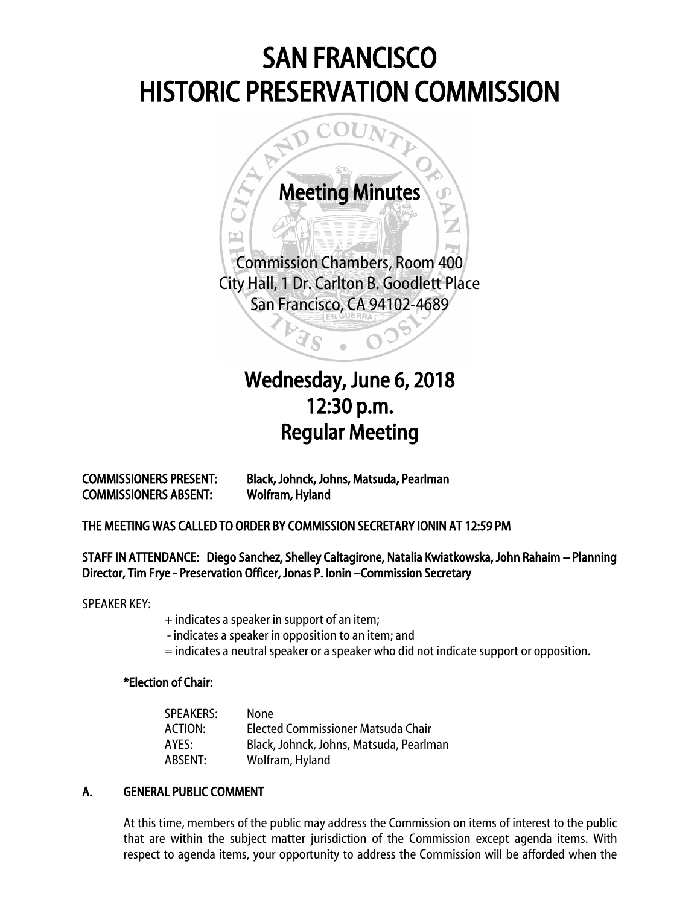# SAN FRANCISCO HISTORIC PRESERVATION COMMISSION



## $\overline{a}$ Wednesday, June 6, 2018 12:30 p.m. Regular Meeting

COMMISSIONERS PRESENT: Black, Johnck, Johns, Matsuda, Pearlman COMMISSIONERS ABSENT: Wolfram, Hyland

### THE MEETING WAS CALLED TO ORDER BY COMMISSION SECRETARY IONIN AT 12:59 PM

### STAFF IN ATTENDANCE: Diego Sanchez, Shelley Caltagirone, Natalia Kwiatkowska, John Rahaim – Planning Director, Tim Frye - Preservation Officer, Jonas P. Ionin –Commission Secretary

SPEAKER KEY:

+ indicates a speaker in support of an item;

- indicates a speaker in opposition to an item; and

 $=$  indicates a neutral speaker or a speaker who did not indicate support or opposition.

### \*Election of Chair:

| SPEAKERS: | None                                    |
|-----------|-----------------------------------------|
| ACTION:   | Elected Commissioner Matsuda Chair      |
| AYES:     | Black, Johnck, Johns, Matsuda, Pearlman |
| ABSENT:   | Wolfram, Hyland                         |

### A. GENERAL PUBLIC COMMENT

At this time, members of the public may address the Commission on items of interest to the public that are within the subject matter jurisdiction of the Commission except agenda items. With respect to agenda items, your opportunity to address the Commission will be afforded when the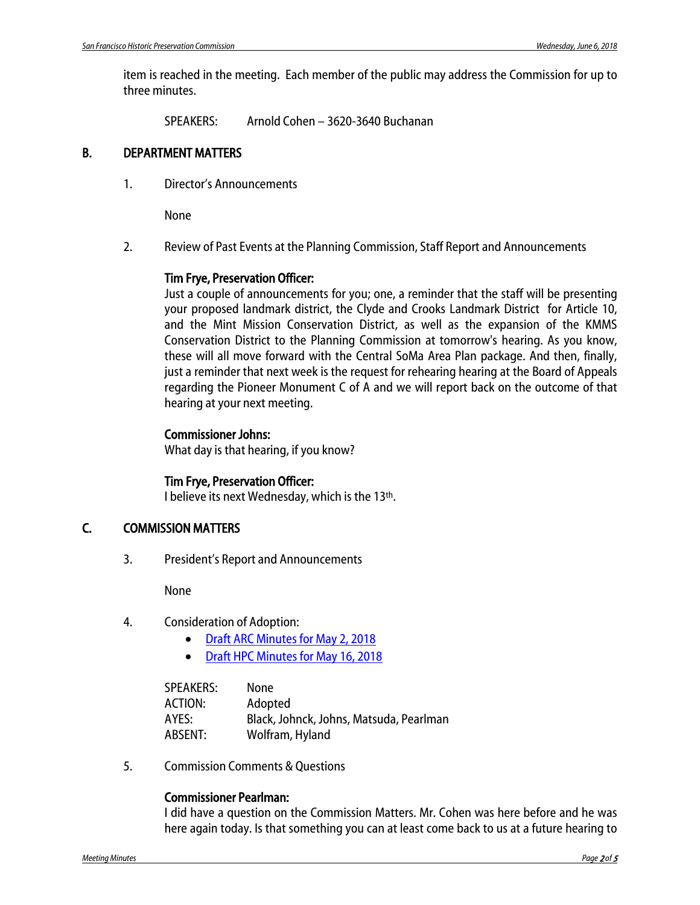item is reached in the meeting. Each member of the public may address the Commission for up to three minutes.

SPEAKERS: Arnold Cohen – 3620-3640 Buchanan

#### B. DEPARTMENT MATTERS

1. Director's Announcements

None

2. Review of Past Events at the Planning Commission, Staff Report and Announcements

#### Tim Frye, Preservation Officer:

Just a couple of announcements for you; one, a reminder that the staff will be presenting your proposed landmark district, the Clyde and Crooks Landmark District for Article 10, and the Mint Mission Conservation District, as well as the expansion of the KMMS Conservation District to the Planning Commission at tomorrow's hearing. As you know, these will all move forward with the Central SoMa Area Plan package. And then, finally, just a reminder that next week is the request for rehearing hearing at the Board of Appeals regarding the Pioneer Monument C of A and we will report back on the outcome of that hearing at your next meeting.

#### Commissioner Johns:

What day is that hearing, if you know?

### Tim Frye, Preservation Officer:

I believe its next Wednesday, which is the 13th.

### C. COMMISSION MATTERS

3. President's Report and Announcements

None

- 4. Consideration of Adoption:
	- [Draft ARC Minutes for](http://commissions.sfplanning.org/hpcpackets/20180502_arc_min.pdf) May 2, 2018
	- [Draft HPC Minutes for May 16, 2018](http://commissions.sfplanning.org/hpcpackets/20180516_hpc_min.pdf)

SPEAKERS: None ACTION: Adopted AYES: Black, Johnck, Johns, Matsuda, Pearlman ABSENT: Wolfram, Hyland

5. Commission Comments & Questions

#### Commissioner Pearlman:

I did have a question on the Commission Matters. Mr. Cohen was here before and he was here again today. Is that something you can at least come back to us at a future hearing to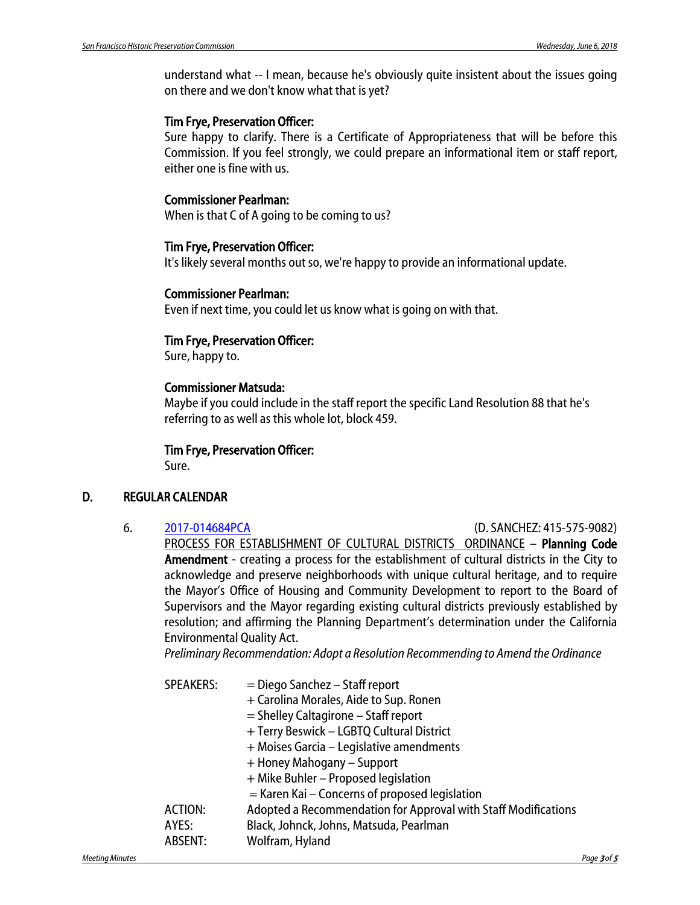understand what -- I mean, because he's obviously quite insistent about the issues going on there and we don't know what that is yet?

#### Tim Frye, Preservation Officer:

Sure happy to clarify. There is a Certificate of Appropriateness that will be before this Commission. If you feel strongly, we could prepare an informational item or staff report, either one is fine with us.

#### Commissioner Pearlman:

When is that C of A going to be coming to us?

#### Tim Frye, Preservation Officer:

It's likely several months out so, we're happy to provide an informational update.

#### Commissioner Pearlman:

Even if next time, you could let us know what is going on with that.

#### Tim Frye, Preservation Officer:

Sure, happy to.

#### Commissioner Matsuda:

Maybe if you could include in the staff report the specific Land Resolution 88 that he's referring to as well as this whole lot, block 459.

#### Tim Frye, Preservation Officer:

Sure.

#### D. REGULAR CALENDAR

### 6. [2017-014684PCA](http://commissions.sfplanning.org/hpcpackets/2017-014684PCA.pdf) (D. SANCHEZ: 415-575-9082) PROCESS FOR ESTABLISHMENT OF CULTURAL DISTRICTS ORDINANCE – Planning Code Amendment - creating a process for the establishment of cultural districts in the City to acknowledge and preserve neighborhoods with unique cultural heritage, and to require the Mayor's Office of Housing and Community Development to report to the Board of Supervisors and the Mayor regarding existing cultural districts previously established by resolution; and affirming the Planning Department's determination under the California Environmental Quality Act.

*Preliminary Recommendation: Adopt a Resolution Recommending to Amend the Ordinance*

| <b>SPEAKERS:</b> | = Diego Sanchez - Staff report                                 |
|------------------|----------------------------------------------------------------|
|                  | + Carolina Morales, Aide to Sup. Ronen                         |
|                  | = Shelley Caltagirone - Staff report                           |
|                  | + Terry Beswick - LGBTQ Cultural District                      |
|                  | + Moises Garcia - Legislative amendments                       |
|                  | + Honey Mahogany - Support                                     |
|                  | + Mike Buhler - Proposed legislation                           |
|                  | $=$ Karen Kai – Concerns of proposed legislation               |
| <b>ACTION:</b>   | Adopted a Recommendation for Approval with Staff Modifications |
| AYES:            | Black, Johnck, Johns, Matsuda, Pearlman                        |
| ABSENT:          | Wolfram, Hyland                                                |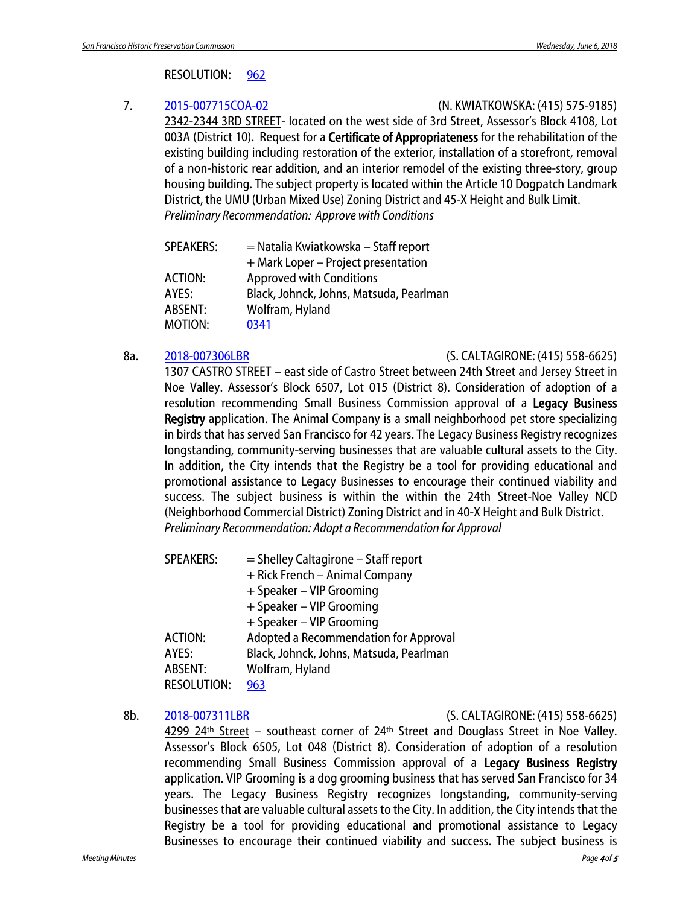#### RESOLUTION: [962](http://citypln-m-extnl.sfgov.org/link.ashx?Action=Download&ObjectVersion=-1&vault=%7bA4A7DACD-B0DC-4322-BD29-F6F07103C6E0%7d&objectGUID=%7b44489310-D23A-425E-85AD-5E9645211315%7d&fileGUID=%7b613C7A2A-3C4D-4AE3-9E48-00558D3C35A4%7d)

7. [2015-007715COA-02](http://commissions.sfplanning.org/hpcpackets/2015-007715COA-02.pdf) (N. KWIATKOWSKA: (415) 575-9185)

2342-2344 3RD STREET- located on the west side of 3rd Street, Assessor's Block 4108, Lot 003A (District 10). Request for a **Certificate of Appropriateness** for the rehabilitation of the existing building including restoration of the exterior, installation of a storefront, removal of a non-historic rear addition, and an interior remodel of the existing three-story, group housing building. The subject property is located within the Article 10 Dogpatch Landmark District, the UMU (Urban Mixed Use) Zoning District and 45-X Height and Bulk Limit. *Preliminary Recommendation: Approve with Conditions* 

| <b>SPEAKERS:</b> | = Natalia Kwiatkowska – Staff report    |
|------------------|-----------------------------------------|
|                  | + Mark Loper - Project presentation     |
| <b>ACTION:</b>   | <b>Approved with Conditions</b>         |
| AYES:            | Black, Johnck, Johns, Matsuda, Pearlman |
| ABSENT:          | Wolfram, Hyland                         |
| <b>MOTION:</b>   | 0341                                    |

8a. [2018-007306LBR](http://commissions.sfplanning.org/hpcpackets/2018-007311LBR.pdf) (S. CALTAGIRONE: (415) 558-6625)

1307 CASTRO STREET – east side of Castro Street between 24th Street and Jersey Street in Noe Valley. Assessor's Block 6507, Lot 015 (District 8). Consideration of adoption of a resolution recommending Small Business Commission approval of a Legacy Business Registry application. The Animal Company is a small neighborhood pet store specializing in birds that has served San Francisco for 42 years. The Legacy Business Registry recognizes longstanding, community-serving businesses that are valuable cultural assets to the City. In addition, the City intends that the Registry be a tool for providing educational and promotional assistance to Legacy Businesses to encourage their continued viability and success. The subject business is within the within the 24th Street-Noe Valley NCD (Neighborhood Commercial District) Zoning District and in 40-X Height and Bulk District. *Preliminary Recommendation: Adopt a Recommendation for Approval*

| <b>SPEAKERS:</b>   | = Shelley Caltagirone - Staff report    |
|--------------------|-----------------------------------------|
|                    | + Rick French - Animal Company          |
|                    | + Speaker - VIP Grooming                |
|                    | + Speaker - VIP Grooming                |
|                    | + Speaker - VIP Grooming                |
| <b>ACTION:</b>     | Adopted a Recommendation for Approval   |
| AYES:              | Black, Johnck, Johns, Matsuda, Pearlman |
| <b>ABSENT:</b>     | Wolfram, Hyland                         |
| <b>RESOLUTION:</b> | 963                                     |

8b. [2018-007311LBR](http://commissions.sfplanning.org/hpcpackets/2018-007311LBR.pdf) (S. CALTAGIRONE: (415) 558-6625)

4299 24<sup>th</sup> Street – southeast corner of 24<sup>th</sup> Street and Douglass Street in Noe Valley. Assessor's Block 6505, Lot 048 (District 8). Consideration of adoption of a resolution recommending Small Business Commission approval of a Legacy Business Registry application. VIP Grooming is a dog grooming business that has served San Francisco for 34 years. The Legacy Business Registry recognizes longstanding, community-serving businesses that are valuable cultural assets to the City. In addition, the City intends that the Registry be a tool for providing educational and promotional assistance to Legacy Businesses to encourage their continued viability and success. The subject business is